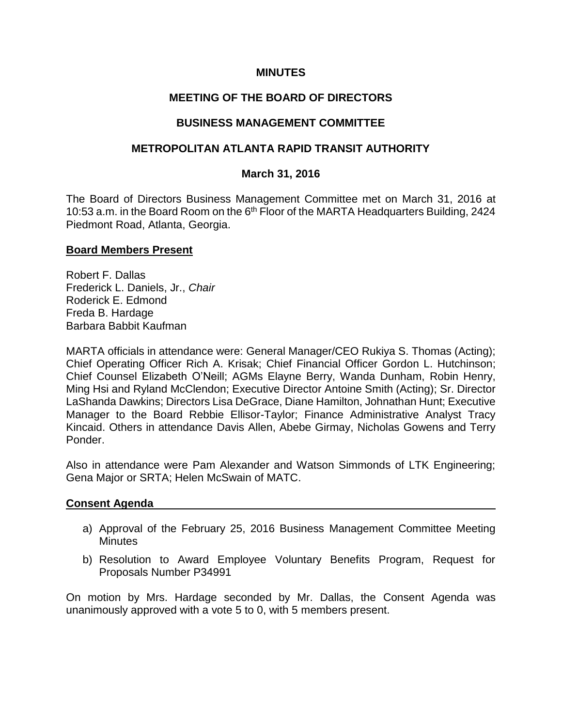## **MINUTES**

# **MEETING OF THE BOARD OF DIRECTORS**

## **BUSINESS MANAGEMENT COMMITTEE**

## **METROPOLITAN ATLANTA RAPID TRANSIT AUTHORITY**

### **March 31, 2016**

The Board of Directors Business Management Committee met on March 31, 2016 at 10:53 a.m. in the Board Room on the 6<sup>th</sup> Floor of the MARTA Headquarters Building, 2424 Piedmont Road, Atlanta, Georgia.

#### **Board Members Present**

Robert F. Dallas Frederick L. Daniels, Jr., *Chair* Roderick E. Edmond Freda B. Hardage Barbara Babbit Kaufman

MARTA officials in attendance were: General Manager/CEO Rukiya S. Thomas (Acting); Chief Operating Officer Rich A. Krisak; Chief Financial Officer Gordon L. Hutchinson; Chief Counsel Elizabeth O'Neill; AGMs Elayne Berry, Wanda Dunham, Robin Henry, Ming Hsi and Ryland McClendon; Executive Director Antoine Smith (Acting); Sr. Director LaShanda Dawkins; Directors Lisa DeGrace, Diane Hamilton, Johnathan Hunt; Executive Manager to the Board Rebbie Ellisor-Taylor; Finance Administrative Analyst Tracy Kincaid. Others in attendance Davis Allen, Abebe Girmay, Nicholas Gowens and Terry Ponder.

Also in attendance were Pam Alexander and Watson Simmonds of LTK Engineering; Gena Major or SRTA; Helen McSwain of MATC.

#### **Consent Agenda**

- a) Approval of the February 25, 2016 Business Management Committee Meeting **Minutes**
- b) Resolution to Award Employee Voluntary Benefits Program, Request for Proposals Number P34991

On motion by Mrs. Hardage seconded by Mr. Dallas, the Consent Agenda was unanimously approved with a vote 5 to 0, with 5 members present.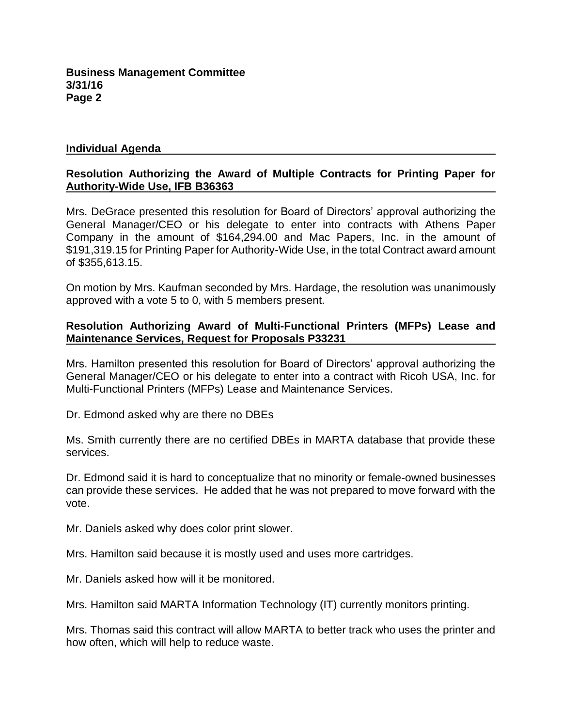### **Individual Agenda**

## **Resolution Authorizing the Award of Multiple Contracts for Printing Paper for Authority-Wide Use, IFB B36363**

Mrs. DeGrace presented this resolution for Board of Directors' approval authorizing the General Manager/CEO or his delegate to enter into contracts with Athens Paper Company in the amount of \$164,294.00 and Mac Papers, Inc. in the amount of \$191,319.15 for Printing Paper for Authority-Wide Use, in the total Contract award amount of \$355,613.15.

On motion by Mrs. Kaufman seconded by Mrs. Hardage, the resolution was unanimously approved with a vote 5 to 0, with 5 members present.

### **Resolution Authorizing Award of Multi-Functional Printers (MFPs) Lease and Maintenance Services, Request for Proposals P33231**

Mrs. Hamilton presented this resolution for Board of Directors' approval authorizing the General Manager/CEO or his delegate to enter into a contract with Ricoh USA, Inc. for Multi-Functional Printers (MFPs) Lease and Maintenance Services.

Dr. Edmond asked why are there no DBEs

Ms. Smith currently there are no certified DBEs in MARTA database that provide these services.

Dr. Edmond said it is hard to conceptualize that no minority or female-owned businesses can provide these services. He added that he was not prepared to move forward with the vote.

Mr. Daniels asked why does color print slower.

Mrs. Hamilton said because it is mostly used and uses more cartridges.

Mr. Daniels asked how will it be monitored.

Mrs. Hamilton said MARTA Information Technology (IT) currently monitors printing.

Mrs. Thomas said this contract will allow MARTA to better track who uses the printer and how often, which will help to reduce waste.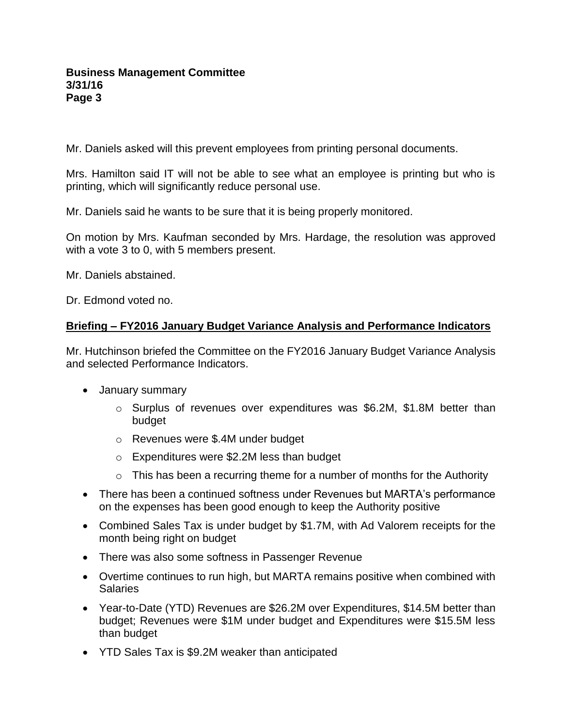### **Business Management Committee 3/31/16 Page 3**

Mr. Daniels asked will this prevent employees from printing personal documents.

Mrs. Hamilton said IT will not be able to see what an employee is printing but who is printing, which will significantly reduce personal use.

Mr. Daniels said he wants to be sure that it is being properly monitored.

On motion by Mrs. Kaufman seconded by Mrs. Hardage, the resolution was approved with a vote 3 to 0, with 5 members present.

Mr. Daniels abstained.

Dr. Edmond voted no.

### **Briefing – FY2016 January Budget Variance Analysis and Performance Indicators**

Mr. Hutchinson briefed the Committee on the FY2016 January Budget Variance Analysis and selected Performance Indicators.

- January summary
	- o Surplus of revenues over expenditures was \$6.2M, \$1.8M better than budget
	- o Revenues were \$.4M under budget
	- o Expenditures were \$2.2M less than budget
	- $\circ$  This has been a recurring theme for a number of months for the Authority
- There has been a continued softness under Revenues but MARTA's performance on the expenses has been good enough to keep the Authority positive
- Combined Sales Tax is under budget by \$1.7M, with Ad Valorem receipts for the month being right on budget
- There was also some softness in Passenger Revenue
- Overtime continues to run high, but MARTA remains positive when combined with Salaries
- Year-to-Date (YTD) Revenues are \$26.2M over Expenditures, \$14.5M better than budget; Revenues were \$1M under budget and Expenditures were \$15.5M less than budget
- YTD Sales Tax is \$9.2M weaker than anticipated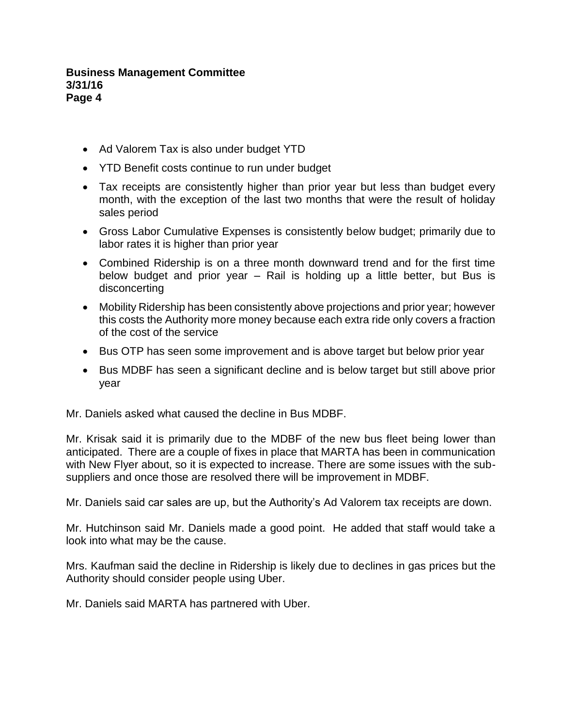### **Business Management Committee 3/31/16 Page 4**

- Ad Valorem Tax is also under budget YTD
- YTD Benefit costs continue to run under budget
- Tax receipts are consistently higher than prior year but less than budget every month, with the exception of the last two months that were the result of holiday sales period
- Gross Labor Cumulative Expenses is consistently below budget; primarily due to labor rates it is higher than prior year
- Combined Ridership is on a three month downward trend and for the first time below budget and prior year – Rail is holding up a little better, but Bus is disconcerting
- Mobility Ridership has been consistently above projections and prior year; however this costs the Authority more money because each extra ride only covers a fraction of the cost of the service
- Bus OTP has seen some improvement and is above target but below prior year
- Bus MDBF has seen a significant decline and is below target but still above prior year

Mr. Daniels asked what caused the decline in Bus MDBF.

Mr. Krisak said it is primarily due to the MDBF of the new bus fleet being lower than anticipated. There are a couple of fixes in place that MARTA has been in communication with New Flyer about, so it is expected to increase. There are some issues with the subsuppliers and once those are resolved there will be improvement in MDBF.

Mr. Daniels said car sales are up, but the Authority's Ad Valorem tax receipts are down.

Mr. Hutchinson said Mr. Daniels made a good point. He added that staff would take a look into what may be the cause.

Mrs. Kaufman said the decline in Ridership is likely due to declines in gas prices but the Authority should consider people using Uber.

Mr. Daniels said MARTA has partnered with Uber.